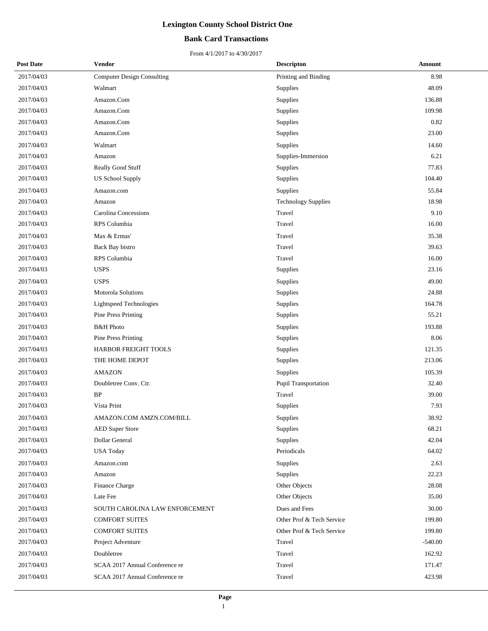## **Bank Card Transactions**

| <b>Post Date</b> | Vendor                            | <b>Descripton</b>          | Amount    |
|------------------|-----------------------------------|----------------------------|-----------|
| 2017/04/03       | <b>Computer Design Consulting</b> | Printing and Binding       | 8.98      |
| 2017/04/03       | Walmart                           | Supplies                   | 48.09     |
| 2017/04/03       | Amazon.Com                        | Supplies                   | 136.88    |
| 2017/04/03       | Amazon.Com                        | Supplies                   | 109.98    |
| 2017/04/03       | Amazon.Com                        | Supplies                   | 0.82      |
| 2017/04/03       | Amazon.Com                        | Supplies                   | 23.00     |
| 2017/04/03       | Walmart                           | Supplies                   | 14.60     |
| 2017/04/03       | Amazon                            | Supplies-Immersion         | 6.21      |
| 2017/04/03       | Really Good Stuff                 | Supplies                   | 77.83     |
| 2017/04/03       | <b>US School Supply</b>           | Supplies                   | 104.40    |
| 2017/04/03       | Amazon.com                        | Supplies                   | 55.84     |
| 2017/04/03       | Amazon                            | <b>Technology Supplies</b> | 18.98     |
| 2017/04/03       | <b>Carolina Concessions</b>       | Travel                     | 9.10      |
| 2017/04/03       | RPS Columbia                      | Travel                     | 16.00     |
| 2017/04/03       | Max & Ermas'                      | Travel                     | 35.38     |
| 2017/04/03       | Back Bay bistro                   | Travel                     | 39.63     |
| 2017/04/03       | RPS Columbia                      | Travel                     | 16.00     |
| 2017/04/03       | <b>USPS</b>                       | Supplies                   | 23.16     |
| 2017/04/03       | <b>USPS</b>                       | Supplies                   | 49.00     |
| 2017/04/03       | Motorola Solutions                | Supplies                   | 24.88     |
| 2017/04/03       | Lightspeed Technologies           | Supplies                   | 164.78    |
| 2017/04/03       | <b>Pine Press Printing</b>        | Supplies                   | 55.21     |
| 2017/04/03       | <b>B&amp;H</b> Photo              | Supplies                   | 193.88    |
| 2017/04/03       | <b>Pine Press Printing</b>        | Supplies                   | 8.06      |
| 2017/04/03       | HARBOR FREIGHT TOOLS              | Supplies                   | 121.35    |
| 2017/04/03       | THE HOME DEPOT                    | Supplies                   | 213.06    |
| 2017/04/03       | <b>AMAZON</b>                     | Supplies                   | 105.39    |
| 2017/04/03       | Doubletree Conv. Ctr.             | Pupil Transportation       | 32.40     |
| 2017/04/03       | <b>BP</b>                         | Travel                     | 39.00     |
| 2017/04/03       | Vista Print                       | Supplies                   | 7.93      |
| 2017/04/03       | AMAZON.COM AMZN.COM/BILL          | Supplies                   | 38.92     |
| 2017/04/03       | <b>AED Super Store</b>            | Supplies                   | 68.21     |
| 2017/04/03       | Dollar General                    | Supplies                   | 42.04     |
| 2017/04/03       | <b>USA Today</b>                  | Periodicals                | 64.02     |
| 2017/04/03       | Amazon.com                        | Supplies                   | 2.63      |
| 2017/04/03       | Amazon                            | Supplies                   | 22.23     |
| 2017/04/03       | Finance Charge                    | Other Objects              | 28.08     |
| 2017/04/03       | Late Fee                          | Other Objects              | 35.00     |
| 2017/04/03       | SOUTH CAROLINA LAW ENFORCEMENT    | Dues and Fees              | 30.00     |
| 2017/04/03       | <b>COMFORT SUITES</b>             | Other Prof & Tech Service  | 199.80    |
| 2017/04/03       | <b>COMFORT SUITES</b>             | Other Prof & Tech Service  | 199.80    |
| 2017/04/03       | Project Adventure                 | Travel                     | $-540.00$ |
| 2017/04/03       | Doubletree                        | Travel                     | 162.92    |
| 2017/04/03       | SCAA 2017 Annual Conference re    | Travel                     | 171.47    |
| 2017/04/03       | SCAA 2017 Annual Conference re    | Travel                     | 423.98    |
|                  |                                   |                            |           |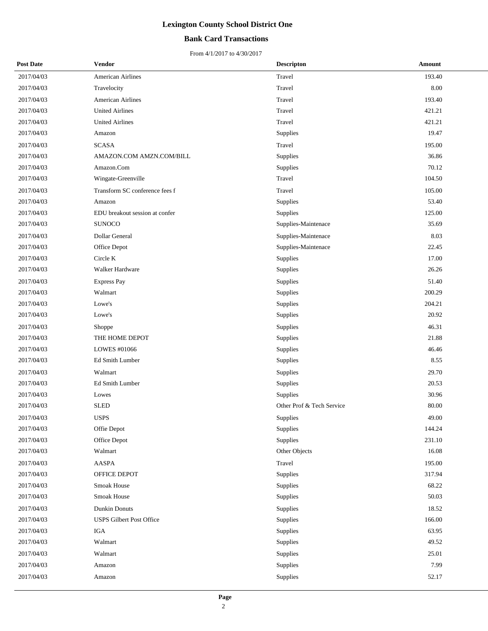## **Bank Card Transactions**

| <b>Post Date</b> | Vendor                          | <b>Descripton</b>         | Amount |
|------------------|---------------------------------|---------------------------|--------|
| 2017/04/03       | American Airlines               | Travel                    | 193.40 |
| 2017/04/03       | Travelocity                     | Travel                    | 8.00   |
| 2017/04/03       | <b>American Airlines</b>        | Travel                    | 193.40 |
| 2017/04/03       | <b>United Airlines</b>          | Travel                    | 421.21 |
| 2017/04/03       | <b>United Airlines</b>          | Travel                    | 421.21 |
| 2017/04/03       | Amazon                          | Supplies                  | 19.47  |
| 2017/04/03       | <b>SCASA</b>                    | Travel                    | 195.00 |
| 2017/04/03       | AMAZON.COM AMZN.COM/BILL        | Supplies                  | 36.86  |
| 2017/04/03       | Amazon.Com                      | Supplies                  | 70.12  |
| 2017/04/03       | Wingate-Greenville              | Travel                    | 104.50 |
| 2017/04/03       | Transform SC conference fees f  | Travel                    | 105.00 |
| 2017/04/03       | Amazon                          | Supplies                  | 53.40  |
| 2017/04/03       | EDU breakout session at confer  | Supplies                  | 125.00 |
| 2017/04/03       | <b>SUNOCO</b>                   | Supplies-Maintenace       | 35.69  |
| 2017/04/03       | Dollar General                  | Supplies-Maintenace       | 8.03   |
| 2017/04/03       | Office Depot                    | Supplies-Maintenace       | 22.45  |
| 2017/04/03       | Circle K                        | Supplies                  | 17.00  |
| 2017/04/03       | Walker Hardware                 | Supplies                  | 26.26  |
| 2017/04/03       | <b>Express Pay</b>              | Supplies                  | 51.40  |
| 2017/04/03       | Walmart                         | Supplies                  | 200.29 |
| 2017/04/03       | Lowe's                          | Supplies                  | 204.21 |
| 2017/04/03       | Lowe's                          | Supplies                  | 20.92  |
| 2017/04/03       | Shoppe                          | Supplies                  | 46.31  |
| 2017/04/03       | THE HOME DEPOT                  | Supplies                  | 21.88  |
| 2017/04/03       | LOWES #01066                    | Supplies                  | 46.46  |
| 2017/04/03       | Ed Smith Lumber                 | Supplies                  | 8.55   |
| 2017/04/03       | Walmart                         | Supplies                  | 29.70  |
| 2017/04/03       | Ed Smith Lumber                 | Supplies                  | 20.53  |
| 2017/04/03       | Lowes                           | Supplies                  | 30.96  |
| 2017/04/03       | <b>SLED</b>                     | Other Prof & Tech Service | 80.00  |
| 2017/04/03       | <b>USPS</b>                     | Supplies                  | 49.00  |
| 2017/04/03       | Offie Depot                     | Supplies                  | 144.24 |
| 2017/04/03       | Office Depot                    | Supplies                  | 231.10 |
| 2017/04/03       | Walmart                         | Other Objects             | 16.08  |
| 2017/04/03       | AASPA                           | Travel                    | 195.00 |
| 2017/04/03       | OFFICE DEPOT                    | Supplies                  | 317.94 |
| 2017/04/03       | Smoak House                     | Supplies                  | 68.22  |
| 2017/04/03       | Smoak House                     | Supplies                  | 50.03  |
| 2017/04/03       | <b>Dunkin Donuts</b>            | Supplies                  | 18.52  |
| 2017/04/03       | <b>USPS Gilbert Post Office</b> | Supplies                  | 166.00 |
| 2017/04/03       | IGA                             | Supplies                  | 63.95  |
| 2017/04/03       | Walmart                         | Supplies                  | 49.52  |
| 2017/04/03       | Walmart                         | Supplies                  | 25.01  |
| 2017/04/03       | Amazon                          | Supplies                  | 7.99   |
| 2017/04/03       | Amazon                          | Supplies                  | 52.17  |
|                  |                                 |                           |        |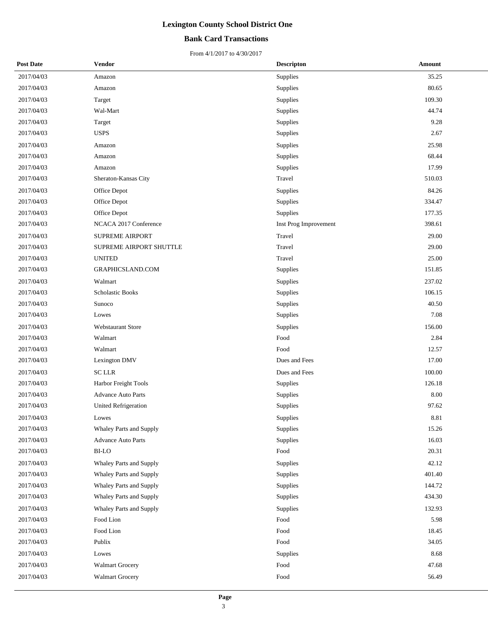## **Bank Card Transactions**

| <b>Post Date</b> | Vendor                      | <b>Descripton</b>     | Amount |
|------------------|-----------------------------|-----------------------|--------|
| 2017/04/03       | Amazon                      | Supplies              | 35.25  |
| 2017/04/03       | Amazon                      | Supplies              | 80.65  |
| 2017/04/03       | Target                      | Supplies              | 109.30 |
| 2017/04/03       | Wal-Mart                    | Supplies              | 44.74  |
| 2017/04/03       | Target                      | Supplies              | 9.28   |
| 2017/04/03       | <b>USPS</b>                 | Supplies              | 2.67   |
| 2017/04/03       | Amazon                      | Supplies              | 25.98  |
| 2017/04/03       | Amazon                      | Supplies              | 68.44  |
| 2017/04/03       | Amazon                      | Supplies              | 17.99  |
| 2017/04/03       | Sheraton-Kansas City        | Travel                | 510.03 |
| 2017/04/03       | Office Depot                | Supplies              | 84.26  |
| 2017/04/03       | Office Depot                | Supplies              | 334.47 |
| 2017/04/03       | Office Depot                | Supplies              | 177.35 |
| 2017/04/03       | NCACA 2017 Conference       | Inst Prog Improvement | 398.61 |
| 2017/04/03       | <b>SUPREME AIRPORT</b>      | Travel                | 29.00  |
| 2017/04/03       | SUPREME AIRPORT SHUTTLE     | Travel                | 29.00  |
| 2017/04/03       | <b>UNITED</b>               | Travel                | 25.00  |
| 2017/04/03       | GRAPHICSLAND.COM            | Supplies              | 151.85 |
| 2017/04/03       | Walmart                     | Supplies              | 237.02 |
| 2017/04/03       | Scholastic Books            | Supplies              | 106.15 |
| 2017/04/03       | Sunoco                      | Supplies              | 40.50  |
| 2017/04/03       | Lowes                       | Supplies              | 7.08   |
| 2017/04/03       | Webstaurant Store           | Supplies              | 156.00 |
| 2017/04/03       | Walmart                     | Food                  | 2.84   |
| 2017/04/03       | Walmart                     | Food                  | 12.57  |
| 2017/04/03       | Lexington DMV               | Dues and Fees         | 17.00  |
| 2017/04/03       | <b>SCLLR</b>                | Dues and Fees         | 100.00 |
| 2017/04/03       | Harbor Freight Tools        | Supplies              | 126.18 |
| 2017/04/03       | <b>Advance Auto Parts</b>   | Supplies              | 8.00   |
| 2017/04/03       | <b>United Refrigeration</b> | Supplies              | 97.62  |
| 2017/04/03       | Lowes                       | Supplies              | 8.81   |
| 2017/04/03       | Whaley Parts and Supply     | Supplies              | 15.26  |
| 2017/04/03       | <b>Advance Auto Parts</b>   | Supplies              | 16.03  |
| 2017/04/03       | BI-LO                       | Food                  | 20.31  |
| 2017/04/03       | Whaley Parts and Supply     | Supplies              | 42.12  |
| 2017/04/03       | Whaley Parts and Supply     | Supplies              | 401.40 |
| 2017/04/03       | Whaley Parts and Supply     | Supplies              | 144.72 |
| 2017/04/03       | Whaley Parts and Supply     | Supplies              | 434.30 |
| 2017/04/03       | Whaley Parts and Supply     | Supplies              | 132.93 |
| 2017/04/03       | Food Lion                   | Food                  | 5.98   |
| 2017/04/03       | Food Lion                   | Food                  | 18.45  |
| 2017/04/03       | Publix                      | Food                  | 34.05  |
| 2017/04/03       | Lowes                       | Supplies              | 8.68   |
| 2017/04/03       | <b>Walmart Grocery</b>      | Food                  | 47.68  |
| 2017/04/03       | <b>Walmart Grocery</b>      | Food                  | 56.49  |
|                  |                             |                       |        |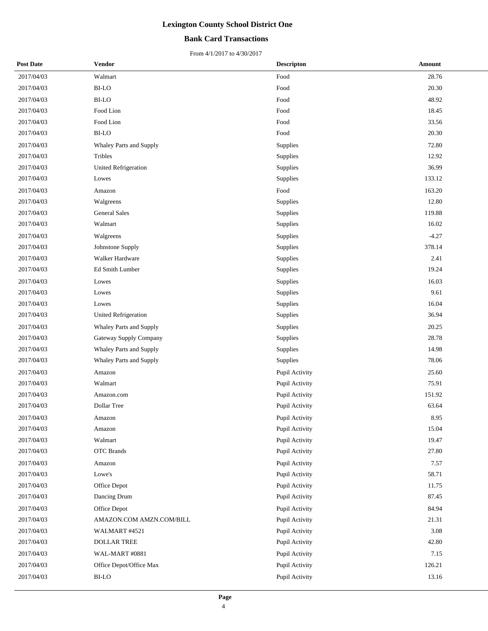## **Bank Card Transactions**

| <b>Post Date</b> | Vendor                   | <b>Descripton</b> | Amount  |
|------------------|--------------------------|-------------------|---------|
| 2017/04/03       | Walmart                  | Food              | 28.76   |
| 2017/04/03       | <b>BI-LO</b>             | Food              | 20.30   |
| 2017/04/03       | <b>BI-LO</b>             | Food              | 48.92   |
| 2017/04/03       | Food Lion                | Food              | 18.45   |
| 2017/04/03       | Food Lion                | Food              | 33.56   |
| 2017/04/03       | <b>BI-LO</b>             | Food              | 20.30   |
| 2017/04/03       | Whaley Parts and Supply  | Supplies          | 72.80   |
| 2017/04/03       | Tribles                  | <b>Supplies</b>   | 12.92   |
| 2017/04/03       | United Refrigeration     | Supplies          | 36.99   |
| 2017/04/03       | Lowes                    | Supplies          | 133.12  |
| 2017/04/03       | Amazon                   | Food              | 163.20  |
| 2017/04/03       | Walgreens                | Supplies          | 12.80   |
| 2017/04/03       | <b>General Sales</b>     | Supplies          | 119.88  |
| 2017/04/03       | Walmart                  | Supplies          | 16.02   |
| 2017/04/03       | Walgreens                | Supplies          | $-4.27$ |
| 2017/04/03       | Johnstone Supply         | Supplies          | 378.14  |
| 2017/04/03       | Walker Hardware          | Supplies          | 2.41    |
| 2017/04/03       | Ed Smith Lumber          | Supplies          | 19.24   |
| 2017/04/03       | Lowes                    | Supplies          | 16.03   |
| 2017/04/03       | Lowes                    | Supplies          | 9.61    |
| 2017/04/03       | Lowes                    | Supplies          | 16.04   |
| 2017/04/03       | United Refrigeration     | Supplies          | 36.94   |
| 2017/04/03       | Whaley Parts and Supply  | Supplies          | 20.25   |
| 2017/04/03       | Gateway Supply Company   | Supplies          | 28.78   |
| 2017/04/03       | Whaley Parts and Supply  | Supplies          | 14.98   |
| 2017/04/03       | Whaley Parts and Supply  | Supplies          | 78.06   |
| 2017/04/03       | Amazon                   | Pupil Activity    | 25.60   |
| 2017/04/03       | Walmart                  | Pupil Activity    | 75.91   |
| 2017/04/03       | Amazon.com               | Pupil Activity    | 151.92  |
| 2017/04/03       | Dollar Tree              | Pupil Activity    | 63.64   |
| 2017/04/03       | Amazon                   | Pupil Activity    | 8.95    |
| 2017/04/03       | Amazon                   | Pupil Activity    | 15.04   |
| 2017/04/03       | Walmart                  | Pupil Activity    | 19.47   |
| 2017/04/03       | <b>OTC</b> Brands        | Pupil Activity    | 27.80   |
| 2017/04/03       | Amazon                   | Pupil Activity    | 7.57    |
| 2017/04/03       | Lowe's                   | Pupil Activity    | 58.71   |
| 2017/04/03       | Office Depot             | Pupil Activity    | 11.75   |
| 2017/04/03       | Dancing Drum             | Pupil Activity    | 87.45   |
| 2017/04/03       | Office Depot             | Pupil Activity    | 84.94   |
| 2017/04/03       | AMAZON.COM AMZN.COM/BILL | Pupil Activity    | 21.31   |
| 2017/04/03       | WALMART #4521            | Pupil Activity    | 3.08    |
| 2017/04/03       | DOLLAR TREE              | Pupil Activity    | 42.80   |
| 2017/04/03       | WAL-MART #0881           | Pupil Activity    | 7.15    |
| 2017/04/03       | Office Depot/Office Max  | Pupil Activity    | 126.21  |
| 2017/04/03       | BI-LO                    | Pupil Activity    | 13.16   |
|                  |                          |                   |         |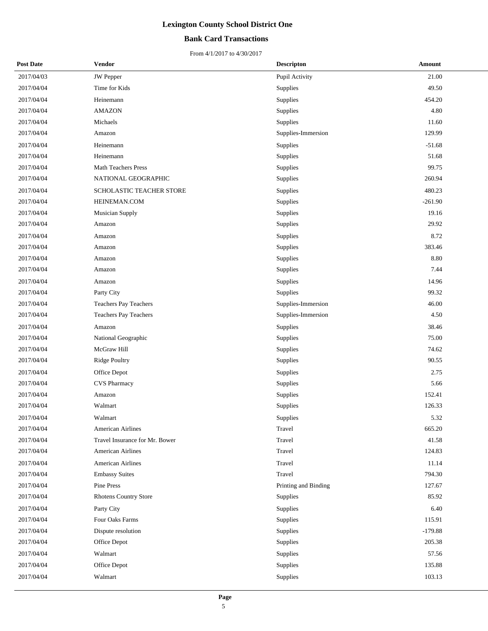## **Bank Card Transactions**

| <b>Post Date</b> | Vendor                         | <b>Descripton</b>    | Amount    |
|------------------|--------------------------------|----------------------|-----------|
| 2017/04/03       | <b>JW</b> Pepper               | Pupil Activity       | 21.00     |
| 2017/04/04       | Time for Kids                  | Supplies             | 49.50     |
| 2017/04/04       | Heinemann                      | Supplies             | 454.20    |
| 2017/04/04       | <b>AMAZON</b>                  | Supplies             | 4.80      |
| 2017/04/04       | Michaels                       | Supplies             | 11.60     |
| 2017/04/04       | Amazon                         | Supplies-Immersion   | 129.99    |
| 2017/04/04       | Heinemann                      | Supplies             | $-51.68$  |
| 2017/04/04       | Heinemann                      | Supplies             | 51.68     |
| 2017/04/04       | <b>Math Teachers Press</b>     | Supplies             | 99.75     |
| 2017/04/04       | NATIONAL GEOGRAPHIC            | Supplies             | 260.94    |
| 2017/04/04       | SCHOLASTIC TEACHER STORE       | Supplies             | 480.23    |
| 2017/04/04       | HEINEMAN.COM                   | Supplies             | $-261.90$ |
| 2017/04/04       | Musician Supply                | <b>Supplies</b>      | 19.16     |
| 2017/04/04       | Amazon                         | Supplies             | 29.92     |
| 2017/04/04       | Amazon                         | Supplies             | 8.72      |
| 2017/04/04       | Amazon                         | Supplies             | 383.46    |
| 2017/04/04       | Amazon                         | Supplies             | 8.80      |
| 2017/04/04       | Amazon                         | Supplies             | 7.44      |
| 2017/04/04       | Amazon                         | Supplies             | 14.96     |
| 2017/04/04       | Party City                     | Supplies             | 99.32     |
| 2017/04/04       | Teachers Pay Teachers          | Supplies-Immersion   | 46.00     |
| 2017/04/04       | Teachers Pay Teachers          | Supplies-Immersion   | 4.50      |
| 2017/04/04       | Amazon                         | Supplies             | 38.46     |
| 2017/04/04       | National Geographic            | Supplies             | 75.00     |
| 2017/04/04       | McGraw Hill                    | Supplies             | 74.62     |
| 2017/04/04       | Ridge Poultry                  | Supplies             | 90.55     |
| 2017/04/04       | Office Depot                   | Supplies             | 2.75      |
| 2017/04/04       | <b>CVS Pharmacy</b>            | Supplies             | 5.66      |
| 2017/04/04       | Amazon                         | Supplies             | 152.41    |
| 2017/04/04       | Walmart                        | Supplies             | 126.33    |
| 2017/04/04       | Walmart                        | Supplies             | 5.32      |
| 2017/04/04       | <b>American Airlines</b>       | Travel               | 665.20    |
| 2017/04/04       | Travel Insurance for Mr. Bower | Travel               | 41.58     |
| 2017/04/04       | American Airlines              | Travel               | 124.83    |
| 2017/04/04       | American Airlines              | Travel               | 11.14     |
| 2017/04/04       | <b>Embassy Suites</b>          | Travel               | 794.30    |
| 2017/04/04       | Pine Press                     | Printing and Binding | 127.67    |
| 2017/04/04       | <b>Rhotens Country Store</b>   | Supplies             | 85.92     |
| 2017/04/04       | Party City                     | Supplies             | 6.40      |
| 2017/04/04       | Four Oaks Farms                | Supplies             | 115.91    |
| 2017/04/04       | Dispute resolution             | Supplies             | $-179.88$ |
| 2017/04/04       | Office Depot                   | Supplies             | 205.38    |
| 2017/04/04       | Walmart                        | Supplies             | 57.56     |
| 2017/04/04       | Office Depot                   | Supplies             | 135.88    |
| 2017/04/04       | Walmart                        | Supplies             | 103.13    |
|                  |                                |                      |           |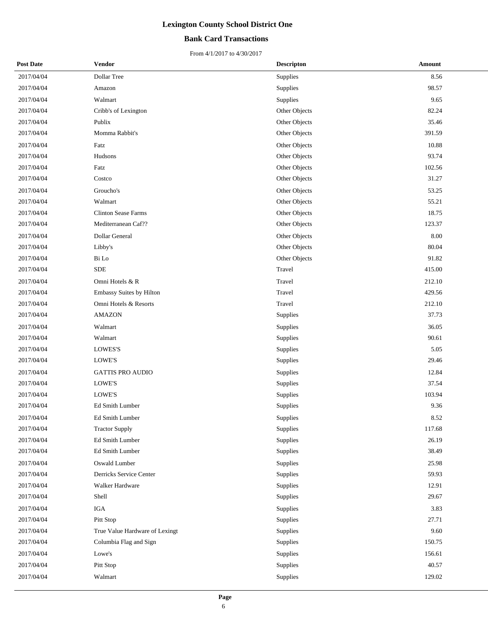## **Bank Card Transactions**

| <b>Post Date</b> | <b>Vendor</b>                  | <b>Descripton</b> | Amount   |
|------------------|--------------------------------|-------------------|----------|
| 2017/04/04       | Dollar Tree                    | Supplies          | 8.56     |
| 2017/04/04       | Amazon                         | Supplies          | 98.57    |
| 2017/04/04       | Walmart                        | Supplies          | 9.65     |
| 2017/04/04       | Cribb's of Lexington           | Other Objects     | 82.24    |
| 2017/04/04       | Publix                         | Other Objects     | 35.46    |
| 2017/04/04       | Momma Rabbit's                 | Other Objects     | 391.59   |
| 2017/04/04       | Fatz                           | Other Objects     | 10.88    |
| 2017/04/04       | Hudsons                        | Other Objects     | 93.74    |
| 2017/04/04       | Fatz                           | Other Objects     | 102.56   |
| 2017/04/04       | Costco                         | Other Objects     | 31.27    |
| 2017/04/04       | Groucho's                      | Other Objects     | 53.25    |
| 2017/04/04       | Walmart                        | Other Objects     | 55.21    |
| 2017/04/04       | <b>Clinton Sease Farms</b>     | Other Objects     | 18.75    |
| 2017/04/04       | Mediterranean Caf??            | Other Objects     | 123.37   |
| 2017/04/04       | Dollar General                 | Other Objects     | $8.00\,$ |
| 2017/04/04       | Libby's                        | Other Objects     | 80.04    |
| 2017/04/04       | Bi Lo                          | Other Objects     | 91.82    |
| 2017/04/04       | <b>SDE</b>                     | Travel            | 415.00   |
| 2017/04/04       | Omni Hotels & R                | Travel            | 212.10   |
| 2017/04/04       | Embassy Suites by Hilton       | Travel            | 429.56   |
| 2017/04/04       | Omni Hotels & Resorts          | Travel            | 212.10   |
| 2017/04/04       | <b>AMAZON</b>                  | Supplies          | 37.73    |
| 2017/04/04       | Walmart                        | Supplies          | 36.05    |
| 2017/04/04       | Walmart                        | Supplies          | 90.61    |
| 2017/04/04       | <b>LOWES'S</b>                 | Supplies          | 5.05     |
| 2017/04/04       | LOWE'S                         | Supplies          | 29.46    |
| 2017/04/04       | <b>GATTIS PRO AUDIO</b>        | Supplies          | 12.84    |
| 2017/04/04       | LOWE'S                         | Supplies          | 37.54    |
| 2017/04/04       | <b>LOWE'S</b>                  | Supplies          | 103.94   |
| 2017/04/04       | Ed Smith Lumber                | Supplies          | 9.36     |
| 2017/04/04       | Ed Smith Lumber                | Supplies          | 8.52     |
| 2017/04/04       | <b>Tractor Supply</b>          | Supplies          | 117.68   |
| 2017/04/04       | Ed Smith Lumber                | Supplies          | 26.19    |
| 2017/04/04       | Ed Smith Lumber                | Supplies          | 38.49    |
| 2017/04/04       | Oswald Lumber                  | Supplies          | 25.98    |
| 2017/04/04       | Derricks Service Center        | Supplies          | 59.93    |
| 2017/04/04       | Walker Hardware                | Supplies          | 12.91    |
| 2017/04/04       | Shell                          | Supplies          | 29.67    |
| 2017/04/04       | <b>IGA</b>                     | Supplies          | 3.83     |
| 2017/04/04       | Pitt Stop                      | Supplies          | 27.71    |
| 2017/04/04       | True Value Hardware of Lexingt | Supplies          | 9.60     |
| 2017/04/04       | Columbia Flag and Sign         | Supplies          | 150.75   |
| 2017/04/04       | Lowe's                         | Supplies          | 156.61   |
| 2017/04/04       | Pitt Stop                      | Supplies          | 40.57    |
| 2017/04/04       | Walmart                        | Supplies          | 129.02   |
|                  |                                |                   |          |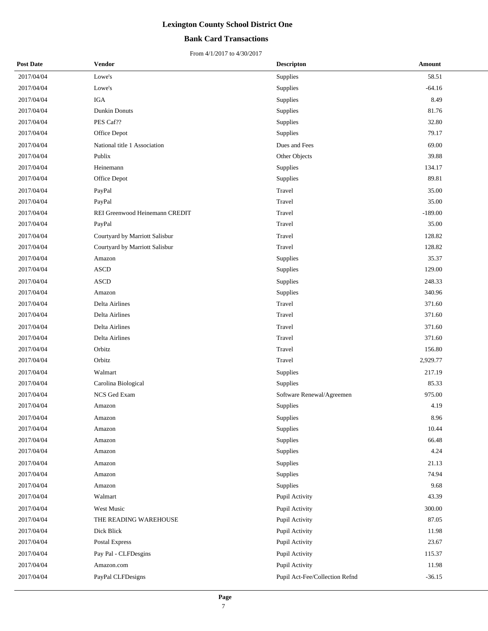## **Bank Card Transactions**

| <b>Post Date</b> | Vendor                         | <b>Descripton</b>              | Amount    |
|------------------|--------------------------------|--------------------------------|-----------|
| 2017/04/04       | Lowe's                         | Supplies                       | 58.51     |
| 2017/04/04       | Lowe's                         | Supplies                       | $-64.16$  |
| 2017/04/04       | <b>IGA</b>                     | Supplies                       | 8.49      |
| 2017/04/04       | <b>Dunkin Donuts</b>           | Supplies                       | 81.76     |
| 2017/04/04       | PES Caf??                      | Supplies                       | 32.80     |
| 2017/04/04       | Office Depot                   | Supplies                       | 79.17     |
| 2017/04/04       | National title 1 Association   | Dues and Fees                  | 69.00     |
| 2017/04/04       | Publix                         | Other Objects                  | 39.88     |
| 2017/04/04       | Heinemann                      | <b>Supplies</b>                | 134.17    |
| 2017/04/04       | Office Depot                   | Supplies                       | 89.81     |
| 2017/04/04       | PayPal                         | Travel                         | 35.00     |
| 2017/04/04       | PayPal                         | Travel                         | 35.00     |
| 2017/04/04       | REI Greenwood Heinemann CREDIT | Travel                         | $-189.00$ |
| 2017/04/04       | PayPal                         | Travel                         | 35.00     |
| 2017/04/04       | Courtyard by Marriott Salisbur | Travel                         | 128.82    |
| 2017/04/04       | Courtyard by Marriott Salisbur | Travel                         | 128.82    |
| 2017/04/04       | Amazon                         | <b>Supplies</b>                | 35.37     |
| 2017/04/04       | <b>ASCD</b>                    | Supplies                       | 129.00    |
| 2017/04/04       | <b>ASCD</b>                    | Supplies                       | 248.33    |
| 2017/04/04       | Amazon                         | Supplies                       | 340.96    |
| 2017/04/04       | Delta Airlines                 | Travel                         | 371.60    |
| 2017/04/04       | Delta Airlines                 | Travel                         | 371.60    |
| 2017/04/04       | Delta Airlines                 | Travel                         | 371.60    |
| 2017/04/04       | Delta Airlines                 | Travel                         | 371.60    |
| 2017/04/04       | Orbitz                         | Travel                         | 156.80    |
| 2017/04/04       | Orbitz                         | Travel                         | 2,929.77  |
| 2017/04/04       | Walmart                        | Supplies                       | 217.19    |
| 2017/04/04       | Carolina Biological            | Supplies                       | 85.33     |
| 2017/04/04       | NCS Ged Exam                   | Software Renewal/Agreemen      | 975.00    |
| 2017/04/04       | Amazon                         | Supplies                       | 4.19      |
| 2017/04/04       | Amazon                         | Supplies                       | 8.96      |
| 2017/04/04       | Amazon                         | <b>Supplies</b>                | 10.44     |
| 2017/04/04       | Amazon                         | Supplies                       | 66.48     |
| 2017/04/04       | Amazon                         | Supplies                       | 4.24      |
| 2017/04/04       | Amazon                         | Supplies                       | 21.13     |
| 2017/04/04       | Amazon                         | Supplies                       | 74.94     |
| 2017/04/04       | Amazon                         | Supplies                       | 9.68      |
| 2017/04/04       | Walmart                        | Pupil Activity                 | 43.39     |
| 2017/04/04       | West Music                     | Pupil Activity                 | 300.00    |
| 2017/04/04       | THE READING WAREHOUSE          | Pupil Activity                 | 87.05     |
| 2017/04/04       | Dick Blick                     | Pupil Activity                 | 11.98     |
| 2017/04/04       | Postal Express                 | Pupil Activity                 | 23.67     |
| 2017/04/04       | Pay Pal - CLFDesgins           | Pupil Activity                 | 115.37    |
| 2017/04/04       | Amazon.com                     | Pupil Activity                 | 11.98     |
| 2017/04/04       | PayPal CLFDesigns              | Pupil Act-Fee/Collection Refnd | $-36.15$  |
|                  |                                |                                |           |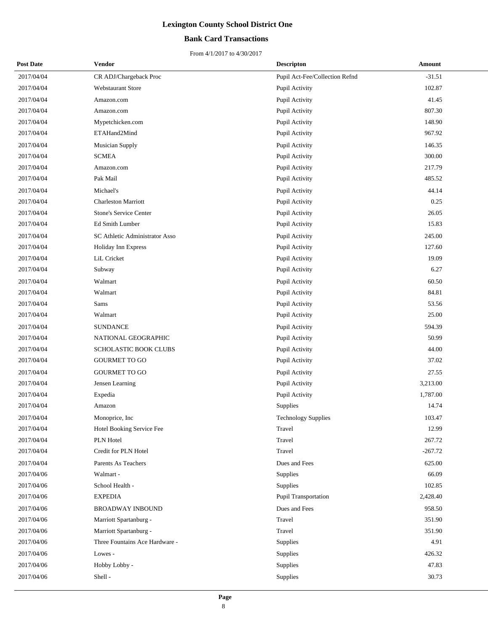## **Bank Card Transactions**

| <b>Post Date</b> | Vendor                         | <b>Descripton</b>              | Amount    |
|------------------|--------------------------------|--------------------------------|-----------|
| 2017/04/04       | CR ADJ/Chargeback Proc         | Pupil Act-Fee/Collection Refnd | $-31.51$  |
| 2017/04/04       | Webstaurant Store              | Pupil Activity                 | 102.87    |
| 2017/04/04       | Amazon.com                     | Pupil Activity                 | 41.45     |
| 2017/04/04       | Amazon.com                     | Pupil Activity                 | 807.30    |
| 2017/04/04       | Mypetchicken.com               | Pupil Activity                 | 148.90    |
| 2017/04/04       | ETAHand2Mind                   | Pupil Activity                 | 967.92    |
| 2017/04/04       | Musician Supply                | Pupil Activity                 | 146.35    |
| 2017/04/04       | <b>SCMEA</b>                   | Pupil Activity                 | 300.00    |
| 2017/04/04       | Amazon.com                     | Pupil Activity                 | 217.79    |
| 2017/04/04       | Pak Mail                       | Pupil Activity                 | 485.52    |
| 2017/04/04       | Michael's                      | Pupil Activity                 | 44.14     |
| 2017/04/04       | <b>Charleston Marriott</b>     | Pupil Activity                 | 0.25      |
| 2017/04/04       | <b>Stone's Service Center</b>  | Pupil Activity                 | 26.05     |
| 2017/04/04       | Ed Smith Lumber                | Pupil Activity                 | 15.83     |
| 2017/04/04       | SC Athletic Administrator Asso | Pupil Activity                 | 245.00    |
| 2017/04/04       | <b>Holiday Inn Express</b>     | Pupil Activity                 | 127.60    |
| 2017/04/04       | LiL Cricket                    | Pupil Activity                 | 19.09     |
| 2017/04/04       | Subway                         | Pupil Activity                 | 6.27      |
| 2017/04/04       | Walmart                        | Pupil Activity                 | 60.50     |
| 2017/04/04       | Walmart                        | Pupil Activity                 | 84.81     |
| 2017/04/04       | Sams                           | Pupil Activity                 | 53.56     |
| 2017/04/04       | Walmart                        | Pupil Activity                 | 25.00     |
| 2017/04/04       | <b>SUNDANCE</b>                | Pupil Activity                 | 594.39    |
| 2017/04/04       | NATIONAL GEOGRAPHIC            | Pupil Activity                 | 50.99     |
| 2017/04/04       | SCHOLASTIC BOOK CLUBS          | Pupil Activity                 | 44.00     |
| 2017/04/04       | <b>GOURMET TO GO</b>           | Pupil Activity                 | 37.02     |
| 2017/04/04       | <b>GOURMET TO GO</b>           | Pupil Activity                 | 27.55     |
| 2017/04/04       | Jensen Learning                | Pupil Activity                 | 3,213.00  |
| 2017/04/04       | Expedia                        | Pupil Activity                 | 1,787.00  |
| 2017/04/04       | Amazon                         | Supplies                       | 14.74     |
| 2017/04/04       | Monoprice, Inc.                | Technology Supplies            | 103.47    |
| 2017/04/04       | Hotel Booking Service Fee      | Travel                         | 12.99     |
| 2017/04/04       | PLN Hotel                      | Travel                         | 267.72    |
| 2017/04/04       | Credit for PLN Hotel           | Travel                         | $-267.72$ |
| 2017/04/04       | Parents As Teachers            | Dues and Fees                  | 625.00    |
| 2017/04/06       | Walmart -                      | Supplies                       | 66.09     |
| 2017/04/06       | School Health -                | Supplies                       | 102.85    |
| 2017/04/06       | <b>EXPEDIA</b>                 | Pupil Transportation           | 2,428.40  |
| 2017/04/06       | <b>BROADWAY INBOUND</b>        | Dues and Fees                  | 958.50    |
| 2017/04/06       | Marriott Spartanburg -         | Travel                         | 351.90    |
| 2017/04/06       | Marriott Spartanburg -         | Travel                         | 351.90    |
| 2017/04/06       | Three Fountains Ace Hardware - | Supplies                       | 4.91      |
| 2017/04/06       | Lowes -                        | Supplies                       | 426.32    |
| 2017/04/06       | Hobby Lobby -                  | Supplies                       | 47.83     |
| 2017/04/06       | Shell-                         | Supplies                       | 30.73     |
|                  |                                |                                |           |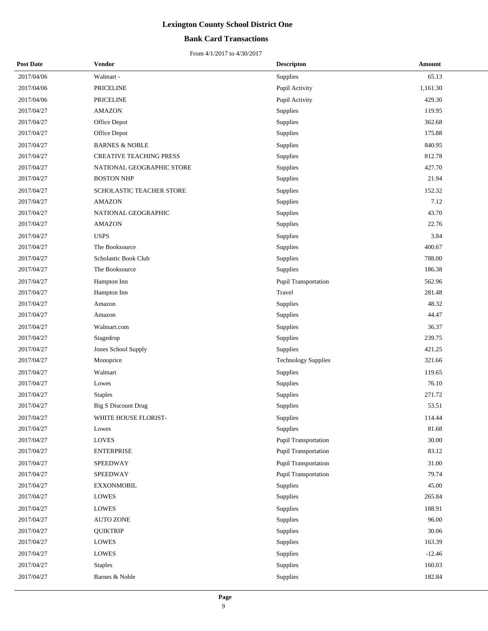## **Bank Card Transactions**

| <b>Post Date</b> | Vendor                          | <b>Descripton</b>          | Amount    |
|------------------|---------------------------------|----------------------------|-----------|
| 2017/04/06       | Walmart -                       | Supplies                   | 65.13     |
| 2017/04/06       | <b>PRICELINE</b>                | Pupil Activity             | 1,161.30  |
| 2017/04/06       | <b>PRICELINE</b>                | Pupil Activity             | 429.30    |
| 2017/04/27       | <b>AMAZON</b>                   | Supplies                   | 119.95    |
| 2017/04/27       | Office Depot                    | Supplies                   | 362.68    |
| 2017/04/27       | Office Depot                    | Supplies                   | 175.88    |
| 2017/04/27       | <b>BARNES &amp; NOBLE</b>       | Supplies                   | 840.95    |
| 2017/04/27       | <b>CREATIVE TEACHING PRESS</b>  | Supplies                   | 812.78    |
| 2017/04/27       | NATIONAL GEOGRAPHIC STORE       | Supplies                   | 427.70    |
| 2017/04/27       | <b>BOSTON NHP</b>               | Supplies                   | 21.94     |
| 2017/04/27       | <b>SCHOLASTIC TEACHER STORE</b> | Supplies                   | 152.32    |
| 2017/04/27       | <b>AMAZON</b>                   | Supplies                   | 7.12      |
| 2017/04/27       | NATIONAL GEOGRAPHIC             | Supplies                   | 43.70     |
| 2017/04/27       | <b>AMAZON</b>                   | Supplies                   | 22.76     |
| 2017/04/27       | <b>USPS</b>                     | Supplies                   | 3.84      |
| 2017/04/27       | The Booksource                  | Supplies                   | 400.67    |
| 2017/04/27       | Scholastic Book Club            | Supplies                   | 788.00    |
| 2017/04/27       | The Booksource                  | Supplies                   | 186.38    |
| 2017/04/27       | Hampton Inn                     | Pupil Transportation       | 562.96    |
| 2017/04/27       | Hampton Inn                     | Travel                     | 281.48    |
| 2017/04/27       | Amazon                          | Supplies                   | 48.32     |
| 2017/04/27       | Amazon                          | Supplies                   | 44.47     |
| 2017/04/27       | Walmart.com                     | Supplies                   | 36.37     |
| 2017/04/27       | Stagedrop                       | Supplies                   | 239.75    |
| 2017/04/27       | Jones School Supply             | Supplies                   | 421.25    |
| 2017/04/27       | Monoprice                       | <b>Technology Supplies</b> | 321.66    |
| 2017/04/27       | Walmart                         | Supplies                   | 119.65    |
| 2017/04/27       | Lowes                           | Supplies                   | 76.10     |
| 2017/04/27       | <b>Staples</b>                  | Supplies                   | 271.72    |
| 2017/04/27       | <b>Big S Discount Drug</b>      | Supplies                   | 53.51     |
| 2017/04/27       | WHITE HOUSE FLORIST-            | Supplies                   | 114.44    |
| 2017/04/27       | Lowes                           | Supplies                   | 81.68     |
| 2017/04/27       | LOVES                           | Pupil Transportation       | $30.00\,$ |
| 2017/04/27       | <b>ENTERPRISE</b>               | Pupil Transportation       | 83.12     |
| 2017/04/27       | SPEEDWAY                        | Pupil Transportation       | 31.00     |
| 2017/04/27       | SPEEDWAY                        | Pupil Transportation       | 79.74     |
| 2017/04/27       | <b>EXXONMOBIL</b>               | Supplies                   | 45.00     |
| 2017/04/27       | <b>LOWES</b>                    | Supplies                   | 265.84    |
| 2017/04/27       | <b>LOWES</b>                    | Supplies                   | 188.91    |
| 2017/04/27       | <b>AUTO ZONE</b>                | Supplies                   | 96.00     |
| 2017/04/27       | <b>QUIKTRIP</b>                 | Supplies                   | 30.06     |
| 2017/04/27       | LOWES                           | Supplies                   | 163.39    |
| 2017/04/27       | LOWES                           | Supplies                   | $-12.46$  |
| 2017/04/27       | <b>Staples</b>                  | Supplies                   | 160.03    |
| 2017/04/27       | Barnes & Noble                  | Supplies                   | 182.84    |
|                  |                                 |                            |           |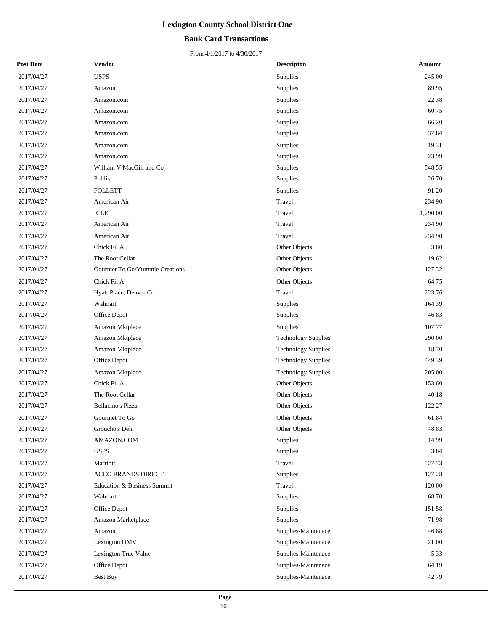## **Bank Card Transactions**

| <b>Post Date</b> | <b>Vendor</b>                  | <b>Descripton</b>          | Amount   |
|------------------|--------------------------------|----------------------------|----------|
| 2017/04/27       | <b>USPS</b>                    | Supplies                   | 245.00   |
| 2017/04/27       | Amazon                         | Supplies                   | 89.95    |
| 2017/04/27       | Amazon.com                     | Supplies                   | 22.38    |
| 2017/04/27       | Amazon.com                     | Supplies                   | 60.75    |
| 2017/04/27       | Amazon.com                     | Supplies                   | 66.20    |
| 2017/04/27       | Amazon.com                     | Supplies                   | 337.84   |
| 2017/04/27       | Amazon.com                     | Supplies                   | 19.31    |
| 2017/04/27       | Amazon.com                     | Supplies                   | 23.99    |
| 2017/04/27       | William V MacGill and Co       | Supplies                   | 548.55   |
| 2017/04/27       | Publix                         | Supplies                   | 26.70    |
| 2017/04/27       | <b>FOLLETT</b>                 | Supplies                   | 91.20    |
| 2017/04/27       | American Air                   | Travel                     | 234.90   |
| 2017/04/27       | <b>ICLE</b>                    | Travel                     | 1,290.00 |
| 2017/04/27       | American Air                   | Travel                     | 234.90   |
| 2017/04/27       | American Air                   | Travel                     | 234.90   |
| 2017/04/27       | Chick Fil A                    | Other Objects              | 3.80     |
| 2017/04/27       | The Root Cellar                | Other Objects              | 19.62    |
| 2017/04/27       | Gourmet To Go/Yummie Creations | Other Objects              | 127.32   |
| 2017/04/27       | Chick Fil A                    | Other Objects              | 64.75    |
| 2017/04/27       | Hyatt Place, Denver Co         | Travel                     | 223.76   |
| 2017/04/27       | Walmart                        | Supplies                   | 164.39   |
| 2017/04/27       | Office Depot                   | Supplies                   | 46.83    |
| 2017/04/27       | Amazon Mktplace                | Supplies                   | 107.77   |
| 2017/04/27       | Amazon Mktplace                | <b>Technology Supplies</b> | 290.00   |
| 2017/04/27       | Amazon Mktplace                | <b>Technology Supplies</b> | 18.70    |
| 2017/04/27       | Office Depot                   | <b>Technology Supplies</b> | 449.39   |
| 2017/04/27       | Amazon Mktplace                | <b>Technology Supplies</b> | 205.00   |
| 2017/04/27       | Chick Fil A                    | Other Objects              | 153.60   |
| 2017/04/27       | The Root Cellar                | Other Objects              | 40.18    |
| 2017/04/27       | <b>Bellacino's Pizza</b>       | Other Objects              | 122.27   |
| 2017/04/27       | Gourmet To Go                  | <b>Other Objects</b>       | 61.84    |
| 2017/04/27       | Groucho's Deli                 | Other Objects              | 48.83    |
| 2017/04/27       | AMAZON.COM                     | Supplies                   | 14.99    |
| 2017/04/27       | <b>USPS</b>                    | Supplies                   | 3.84     |
| 2017/04/27       | Marriott                       | Travel                     | 527.73   |
| 2017/04/27       | <b>ACCO BRANDS DIRECT</b>      | Supplies                   | 127.28   |
| 2017/04/27       | Education & Business Summit    | Travel                     | 120.00   |
| 2017/04/27       | Walmart                        | Supplies                   | 68.70    |
| 2017/04/27       | Office Depot                   | Supplies                   | 151.58   |
| 2017/04/27       | Amazon Marketplace             | Supplies                   | 71.98    |
| 2017/04/27       | Amazon                         | Supplies-Maintenace        | 46.88    |
| 2017/04/27       | Lexington DMV                  | Supplies-Maintenace        | 21.00    |
| 2017/04/27       | Lexington True Value           | Supplies-Maintenace        | 5.33     |
| 2017/04/27       | Office Depot                   | Supplies-Maintenace        | 64.19    |
| 2017/04/27       | Best Buy                       | Supplies-Maintenace        | 42.79    |
|                  |                                |                            |          |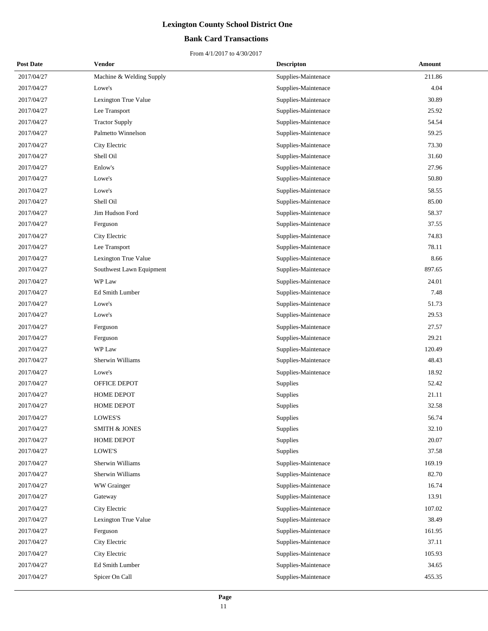## **Bank Card Transactions**

| <b>Post Date</b> | Vendor                   | <b>Descripton</b>   | Amount |
|------------------|--------------------------|---------------------|--------|
| 2017/04/27       | Machine & Welding Supply | Supplies-Maintenace | 211.86 |
| 2017/04/27       | Lowe's                   | Supplies-Maintenace | 4.04   |
| 2017/04/27       | Lexington True Value     | Supplies-Maintenace | 30.89  |
| 2017/04/27       | Lee Transport            | Supplies-Maintenace | 25.92  |
| 2017/04/27       | <b>Tractor Supply</b>    | Supplies-Maintenace | 54.54  |
| 2017/04/27       | Palmetto Winnelson       | Supplies-Maintenace | 59.25  |
| 2017/04/27       | City Electric            | Supplies-Maintenace | 73.30  |
| 2017/04/27       | Shell Oil                | Supplies-Maintenace | 31.60  |
| 2017/04/27       | Enlow's                  | Supplies-Maintenace | 27.96  |
| 2017/04/27       | Lowe's                   | Supplies-Maintenace | 50.80  |
| 2017/04/27       | Lowe's                   | Supplies-Maintenace | 58.55  |
| 2017/04/27       | Shell Oil                | Supplies-Maintenace | 85.00  |
| 2017/04/27       | Jim Hudson Ford          | Supplies-Maintenace | 58.37  |
| 2017/04/27       | Ferguson                 | Supplies-Maintenace | 37.55  |
| 2017/04/27       | City Electric            | Supplies-Maintenace | 74.83  |
| 2017/04/27       | Lee Transport            | Supplies-Maintenace | 78.11  |
| 2017/04/27       | Lexington True Value     | Supplies-Maintenace | 8.66   |
| 2017/04/27       | Southwest Lawn Equipment | Supplies-Maintenace | 897.65 |
| 2017/04/27       | WP Law                   | Supplies-Maintenace | 24.01  |
| 2017/04/27       | Ed Smith Lumber          | Supplies-Maintenace | 7.48   |
| 2017/04/27       | Lowe's                   | Supplies-Maintenace | 51.73  |
| 2017/04/27       | Lowe's                   | Supplies-Maintenace | 29.53  |
| 2017/04/27       | Ferguson                 | Supplies-Maintenace | 27.57  |
| 2017/04/27       | Ferguson                 | Supplies-Maintenace | 29.21  |
| 2017/04/27       | WP Law                   | Supplies-Maintenace | 120.49 |
| 2017/04/27       | Sherwin Williams         | Supplies-Maintenace | 48.43  |
| 2017/04/27       | Lowe's                   | Supplies-Maintenace | 18.92  |
| 2017/04/27       | OFFICE DEPOT             | Supplies            | 52.42  |
| 2017/04/27       | HOME DEPOT               | Supplies            | 21.11  |
| 2017/04/27       | <b>HOME DEPOT</b>        | Supplies            | 32.58  |
| 2017/04/27       | <b>LOWES'S</b>           | Supplies            | 56.74  |
| 2017/04/27       | <b>SMITH &amp; JONES</b> | Supplies            | 32.10  |
| 2017/04/27       | HOME DEPOT               | Supplies            | 20.07  |
| 2017/04/27       | LOWE'S                   | Supplies            | 37.58  |
| 2017/04/27       | Sherwin Williams         | Supplies-Maintenace | 169.19 |
| 2017/04/27       | Sherwin Williams         | Supplies-Maintenace | 82.70  |
| 2017/04/27       | WW Grainger              | Supplies-Maintenace | 16.74  |
| 2017/04/27       | Gateway                  | Supplies-Maintenace | 13.91  |
| 2017/04/27       | City Electric            | Supplies-Maintenace | 107.02 |
| 2017/04/27       | Lexington True Value     | Supplies-Maintenace | 38.49  |
| 2017/04/27       | Ferguson                 | Supplies-Maintenace | 161.95 |
| 2017/04/27       | City Electric            | Supplies-Maintenace | 37.11  |
| 2017/04/27       | City Electric            | Supplies-Maintenace | 105.93 |
| 2017/04/27       | Ed Smith Lumber          | Supplies-Maintenace | 34.65  |
| 2017/04/27       | Spicer On Call           | Supplies-Maintenace | 455.35 |
|                  |                          |                     |        |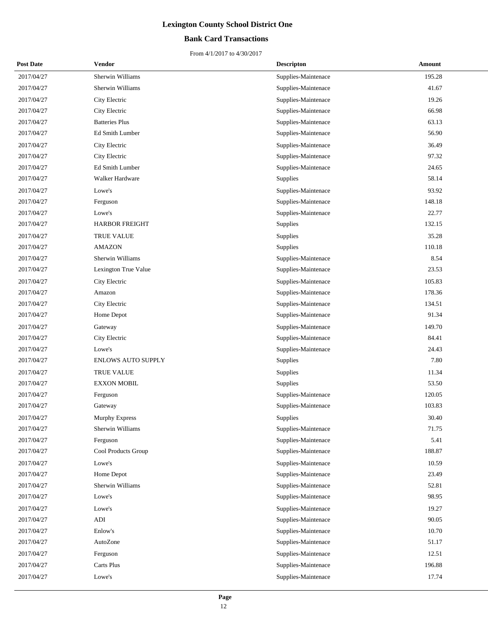## **Bank Card Transactions**

| <b>Post Date</b> | Vendor                    | <b>Descripton</b>   | Amount |
|------------------|---------------------------|---------------------|--------|
| 2017/04/27       | Sherwin Williams          | Supplies-Maintenace | 195.28 |
| 2017/04/27       | Sherwin Williams          | Supplies-Maintenace | 41.67  |
| 2017/04/27       | City Electric             | Supplies-Maintenace | 19.26  |
| 2017/04/27       | City Electric             | Supplies-Maintenace | 66.98  |
| 2017/04/27       | <b>Batteries Plus</b>     | Supplies-Maintenace | 63.13  |
| 2017/04/27       | Ed Smith Lumber           | Supplies-Maintenace | 56.90  |
| 2017/04/27       | City Electric             | Supplies-Maintenace | 36.49  |
| 2017/04/27       | City Electric             | Supplies-Maintenace | 97.32  |
| 2017/04/27       | Ed Smith Lumber           | Supplies-Maintenace | 24.65  |
| 2017/04/27       | Walker Hardware           | Supplies            | 58.14  |
| 2017/04/27       | Lowe's                    | Supplies-Maintenace | 93.92  |
| 2017/04/27       | Ferguson                  | Supplies-Maintenace | 148.18 |
| 2017/04/27       | Lowe's                    | Supplies-Maintenace | 22.77  |
| 2017/04/27       | <b>HARBOR FREIGHT</b>     | Supplies            | 132.15 |
| 2017/04/27       | <b>TRUE VALUE</b>         | Supplies            | 35.28  |
| 2017/04/27       | <b>AMAZON</b>             | Supplies            | 110.18 |
| 2017/04/27       | Sherwin Williams          | Supplies-Maintenace | 8.54   |
| 2017/04/27       | Lexington True Value      | Supplies-Maintenace | 23.53  |
| 2017/04/27       | City Electric             | Supplies-Maintenace | 105.83 |
| 2017/04/27       | Amazon                    | Supplies-Maintenace | 178.36 |
| 2017/04/27       | City Electric             | Supplies-Maintenace | 134.51 |
| 2017/04/27       | Home Depot                | Supplies-Maintenace | 91.34  |
| 2017/04/27       | Gateway                   | Supplies-Maintenace | 149.70 |
| 2017/04/27       | City Electric             | Supplies-Maintenace | 84.41  |
| 2017/04/27       | Lowe's                    | Supplies-Maintenace | 24.43  |
| 2017/04/27       | <b>ENLOWS AUTO SUPPLY</b> | Supplies            | 7.80   |
| 2017/04/27       | <b>TRUE VALUE</b>         | Supplies            | 11.34  |
| 2017/04/27       | <b>EXXON MOBIL</b>        | <b>Supplies</b>     | 53.50  |
| 2017/04/27       | Ferguson                  | Supplies-Maintenace | 120.05 |
| 2017/04/27       | Gateway                   | Supplies-Maintenace | 103.83 |
| 2017/04/27       | Murphy Express            | <b>Supplies</b>     | 30.40  |
| 2017/04/27       | Sherwin Williams          | Supplies-Maintenace | 71.75  |
| 2017/04/27       | Ferguson                  | Supplies-Maintenace | 5.41   |
| 2017/04/27       | Cool Products Group       | Supplies-Maintenace | 188.87 |
| 2017/04/27       | Lowe's                    | Supplies-Maintenace | 10.59  |
| 2017/04/27       | Home Depot                | Supplies-Maintenace | 23.49  |
| 2017/04/27       | Sherwin Williams          | Supplies-Maintenace | 52.81  |
| 2017/04/27       | Lowe's                    | Supplies-Maintenace | 98.95  |
| 2017/04/27       | Lowe's                    | Supplies-Maintenace | 19.27  |
| 2017/04/27       | ADI                       | Supplies-Maintenace | 90.05  |
| 2017/04/27       | Enlow's                   | Supplies-Maintenace | 10.70  |
| 2017/04/27       | AutoZone                  | Supplies-Maintenace | 51.17  |
| 2017/04/27       | Ferguson                  | Supplies-Maintenace | 12.51  |
| 2017/04/27       | Carts Plus                | Supplies-Maintenace | 196.88 |
| 2017/04/27       | Lowe's                    | Supplies-Maintenace | 17.74  |
|                  |                           |                     |        |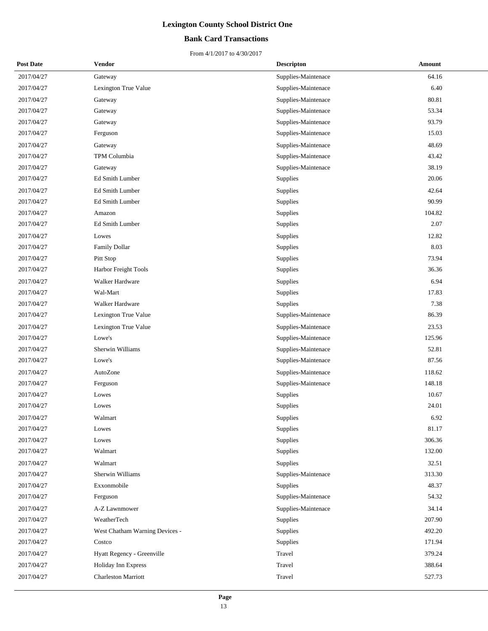## **Bank Card Transactions**

| <b>Post Date</b> | Vendor                         | <b>Descripton</b>   | Amount |
|------------------|--------------------------------|---------------------|--------|
| 2017/04/27       | Gateway                        | Supplies-Maintenace | 64.16  |
| 2017/04/27       | Lexington True Value           | Supplies-Maintenace | 6.40   |
| 2017/04/27       | Gateway                        | Supplies-Maintenace | 80.81  |
| 2017/04/27       | Gateway                        | Supplies-Maintenace | 53.34  |
| 2017/04/27       | Gateway                        | Supplies-Maintenace | 93.79  |
| 2017/04/27       | Ferguson                       | Supplies-Maintenace | 15.03  |
| 2017/04/27       | Gateway                        | Supplies-Maintenace | 48.69  |
| 2017/04/27       | TPM Columbia                   | Supplies-Maintenace | 43.42  |
| 2017/04/27       | Gateway                        | Supplies-Maintenace | 38.19  |
| 2017/04/27       | Ed Smith Lumber                | Supplies            | 20.06  |
| 2017/04/27       | Ed Smith Lumber                | Supplies            | 42.64  |
| 2017/04/27       | Ed Smith Lumber                | Supplies            | 90.99  |
| 2017/04/27       | Amazon                         | Supplies            | 104.82 |
| 2017/04/27       | Ed Smith Lumber                | Supplies            | 2.07   |
| 2017/04/27       | Lowes                          | Supplies            | 12.82  |
| 2017/04/27       | Family Dollar                  | Supplies            | 8.03   |
| 2017/04/27       | Pitt Stop                      | Supplies            | 73.94  |
| 2017/04/27       | Harbor Freight Tools           | Supplies            | 36.36  |
| 2017/04/27       | Walker Hardware                | Supplies            | 6.94   |
| 2017/04/27       | Wal-Mart                       | Supplies            | 17.83  |
| 2017/04/27       | Walker Hardware                | Supplies            | 7.38   |
| 2017/04/27       | Lexington True Value           | Supplies-Maintenace | 86.39  |
| 2017/04/27       | Lexington True Value           | Supplies-Maintenace | 23.53  |
| 2017/04/27       | Lowe's                         | Supplies-Maintenace | 125.96 |
| 2017/04/27       | Sherwin Williams               | Supplies-Maintenace | 52.81  |
| 2017/04/27       | Lowe's                         | Supplies-Maintenace | 87.56  |
| 2017/04/27       | AutoZone                       | Supplies-Maintenace | 118.62 |
| 2017/04/27       | Ferguson                       | Supplies-Maintenace | 148.18 |
| 2017/04/27       | Lowes                          | Supplies            | 10.67  |
| 2017/04/27       | Lowes                          | Supplies            | 24.01  |
| 2017/04/27       | Walmart                        | Supplies            | 6.92   |
| 2017/04/27       | Lowes                          | Supplies            | 81.17  |
| 2017/04/27       | Lowes                          | Supplies            | 306.36 |
| 2017/04/27       | Walmart                        | Supplies            | 132.00 |
| 2017/04/27       | Walmart                        | Supplies            | 32.51  |
| 2017/04/27       | Sherwin Williams               | Supplies-Maintenace | 313.30 |
| 2017/04/27       | Exxonmobile                    | Supplies            | 48.37  |
| 2017/04/27       | Ferguson                       | Supplies-Maintenace | 54.32  |
| 2017/04/27       | A-Z Lawnmower                  | Supplies-Maintenace | 34.14  |
| 2017/04/27       | WeatherTech                    | Supplies            | 207.90 |
| 2017/04/27       | West Chatham Warning Devices - | Supplies            | 492.20 |
| 2017/04/27       | Costco                         | Supplies            | 171.94 |
| 2017/04/27       | Hyatt Regency - Greenville     | Travel              | 379.24 |
| 2017/04/27       | Holiday Inn Express            | Travel              | 388.64 |
| 2017/04/27       | <b>Charleston Marriott</b>     | Travel              | 527.73 |
|                  |                                |                     |        |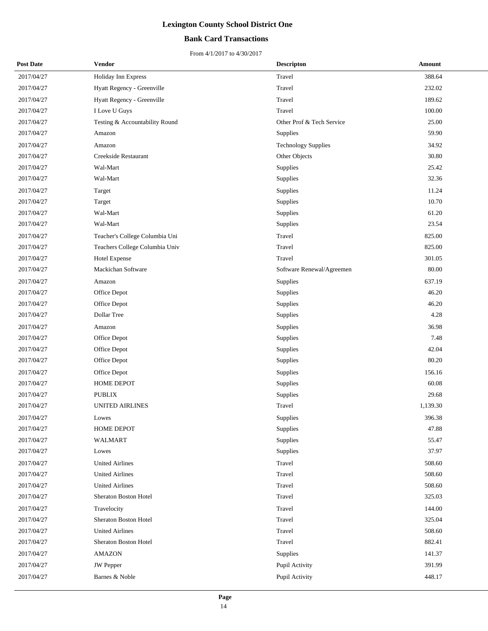## **Bank Card Transactions**

| <b>Post Date</b> | Vendor                         | <b>Descripton</b>          | Amount   |
|------------------|--------------------------------|----------------------------|----------|
| 2017/04/27       | Holiday Inn Express            | Travel                     | 388.64   |
| 2017/04/27       | Hyatt Regency - Greenville     | Travel                     | 232.02   |
| 2017/04/27       | Hyatt Regency - Greenville     | Travel                     | 189.62   |
| 2017/04/27       | I Love U Guys                  | Travel                     | 100.00   |
| 2017/04/27       | Testing & Accountability Round | Other Prof & Tech Service  | 25.00    |
| 2017/04/27       | Amazon                         | Supplies                   | 59.90    |
| 2017/04/27       | Amazon                         | <b>Technology Supplies</b> | 34.92    |
| 2017/04/27       | Creekside Restaurant           | Other Objects              | 30.80    |
| 2017/04/27       | Wal-Mart                       | Supplies                   | 25.42    |
| 2017/04/27       | Wal-Mart                       | Supplies                   | 32.36    |
| 2017/04/27       | Target                         | Supplies                   | 11.24    |
| 2017/04/27       | Target                         | Supplies                   | 10.70    |
| 2017/04/27       | Wal-Mart                       | Supplies                   | 61.20    |
| 2017/04/27       | Wal-Mart                       | Supplies                   | 23.54    |
| 2017/04/27       | Teacher's College Columbia Uni | Travel                     | 825.00   |
| 2017/04/27       | Teachers College Columbia Univ | Travel                     | 825.00   |
| 2017/04/27       | Hotel Expense                  | Travel                     | 301.05   |
| 2017/04/27       | Mackichan Software             | Software Renewal/Agreemen  | 80.00    |
| 2017/04/27       | Amazon                         | Supplies                   | 637.19   |
| 2017/04/27       | Office Depot                   | Supplies                   | 46.20    |
| 2017/04/27       | Office Depot                   | Supplies                   | 46.20    |
| 2017/04/27       | Dollar Tree                    | Supplies                   | 4.28     |
| 2017/04/27       | Amazon                         | Supplies                   | 36.98    |
| 2017/04/27       | Office Depot                   | Supplies                   | 7.48     |
| 2017/04/27       | Office Depot                   | Supplies                   | 42.04    |
| 2017/04/27       | Office Depot                   | Supplies                   | 80.20    |
| 2017/04/27       | Office Depot                   | Supplies                   | 156.16   |
| 2017/04/27       | HOME DEPOT                     | Supplies                   | 60.08    |
| 2017/04/27       | <b>PUBLIX</b>                  | Supplies                   | 29.68    |
| 2017/04/27       | <b>UNITED AIRLINES</b>         | Travel                     | 1,139.30 |
| 2017/04/27       | Lowes                          | Supplies                   | 396.38   |
| 2017/04/27       | HOME DEPOT                     | Supplies                   | 47.88    |
| 2017/04/27       | <b>WALMART</b>                 | Supplies                   | 55.47    |
| 2017/04/27       | Lowes                          | Supplies                   | 37.97    |
| 2017/04/27       | <b>United Airlines</b>         | Travel                     | 508.60   |
| 2017/04/27       | <b>United Airlines</b>         | Travel                     | 508.60   |
| 2017/04/27       | <b>United Airlines</b>         | Travel                     | 508.60   |
| 2017/04/27       | Sheraton Boston Hotel          | Travel                     | 325.03   |
| 2017/04/27       | Travelocity                    | Travel                     | 144.00   |
| 2017/04/27       | Sheraton Boston Hotel          | Travel                     | 325.04   |
| 2017/04/27       | <b>United Airlines</b>         | Travel                     | 508.60   |
| 2017/04/27       | Sheraton Boston Hotel          | Travel                     | 882.41   |
| 2017/04/27       | <b>AMAZON</b>                  | Supplies                   | 141.37   |
| 2017/04/27       | JW Pepper                      | Pupil Activity             | 391.99   |
| 2017/04/27       | Barnes & Noble                 | Pupil Activity             | 448.17   |
|                  |                                |                            |          |